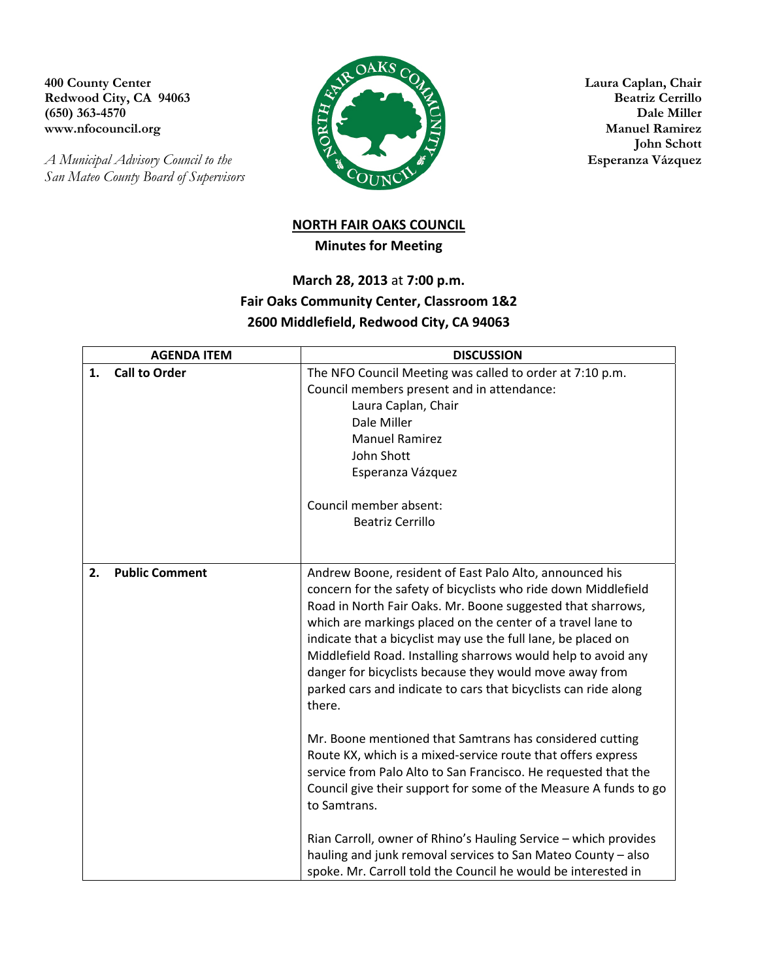Redwood City, CA 94063

*A Municipal Advisory Council to the Esperanza Vázquez San Mateo County Board of Supervisors* 



 **John Schott** 

## **NORTH FAIR OAKS COUNCIL Minutes for Meeting**

## **March 28, 2013** at **7:00 p.m. Fair Oaks Community Center, Classroom 1&2 2600 Middlefield, Redwood City, CA 94063**

| <b>AGENDA ITEM</b>          | <b>DISCUSSION</b>                                                                                                                                                                                                                                                                                                                                                                                                                                                                                                                 |
|-----------------------------|-----------------------------------------------------------------------------------------------------------------------------------------------------------------------------------------------------------------------------------------------------------------------------------------------------------------------------------------------------------------------------------------------------------------------------------------------------------------------------------------------------------------------------------|
| <b>Call to Order</b><br>1.  | The NFO Council Meeting was called to order at 7:10 p.m.<br>Council members present and in attendance:<br>Laura Caplan, Chair                                                                                                                                                                                                                                                                                                                                                                                                     |
|                             | Dale Miller                                                                                                                                                                                                                                                                                                                                                                                                                                                                                                                       |
|                             | <b>Manuel Ramirez</b>                                                                                                                                                                                                                                                                                                                                                                                                                                                                                                             |
|                             | John Shott                                                                                                                                                                                                                                                                                                                                                                                                                                                                                                                        |
|                             | Esperanza Vázquez                                                                                                                                                                                                                                                                                                                                                                                                                                                                                                                 |
|                             | Council member absent:                                                                                                                                                                                                                                                                                                                                                                                                                                                                                                            |
|                             | <b>Beatriz Cerrillo</b>                                                                                                                                                                                                                                                                                                                                                                                                                                                                                                           |
|                             |                                                                                                                                                                                                                                                                                                                                                                                                                                                                                                                                   |
|                             |                                                                                                                                                                                                                                                                                                                                                                                                                                                                                                                                   |
| <b>Public Comment</b><br>2. | Andrew Boone, resident of East Palo Alto, announced his<br>concern for the safety of bicyclists who ride down Middlefield<br>Road in North Fair Oaks. Mr. Boone suggested that sharrows,<br>which are markings placed on the center of a travel lane to<br>indicate that a bicyclist may use the full lane, be placed on<br>Middlefield Road. Installing sharrows would help to avoid any<br>danger for bicyclists because they would move away from<br>parked cars and indicate to cars that bicyclists can ride along<br>there. |
|                             | Mr. Boone mentioned that Samtrans has considered cutting<br>Route KX, which is a mixed-service route that offers express<br>service from Palo Alto to San Francisco. He requested that the<br>Council give their support for some of the Measure A funds to go<br>to Samtrans.                                                                                                                                                                                                                                                    |
|                             | Rian Carroll, owner of Rhino's Hauling Service - which provides<br>hauling and junk removal services to San Mateo County - also<br>spoke. Mr. Carroll told the Council he would be interested in                                                                                                                                                                                                                                                                                                                                  |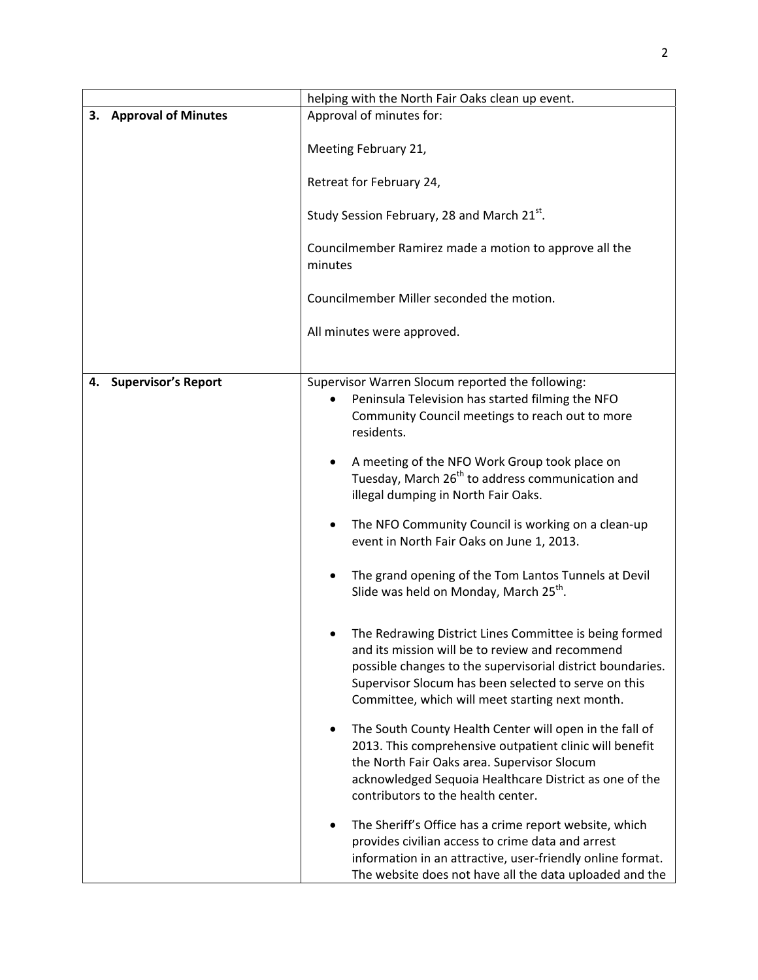|    |                            | helping with the North Fair Oaks clean up event.                                                                                                                                                                                                                                                                                                                                                                                                                                                                                                                                                                                                                                                                                                                                       |
|----|----------------------------|----------------------------------------------------------------------------------------------------------------------------------------------------------------------------------------------------------------------------------------------------------------------------------------------------------------------------------------------------------------------------------------------------------------------------------------------------------------------------------------------------------------------------------------------------------------------------------------------------------------------------------------------------------------------------------------------------------------------------------------------------------------------------------------|
|    | 3. Approval of Minutes     | Approval of minutes for:                                                                                                                                                                                                                                                                                                                                                                                                                                                                                                                                                                                                                                                                                                                                                               |
|    |                            | Meeting February 21,<br>Retreat for February 24,<br>Study Session February, 28 and March 21 <sup>st</sup> .<br>Councilmember Ramirez made a motion to approve all the<br>minutes<br>Councilmember Miller seconded the motion.                                                                                                                                                                                                                                                                                                                                                                                                                                                                                                                                                          |
|    |                            | All minutes were approved.                                                                                                                                                                                                                                                                                                                                                                                                                                                                                                                                                                                                                                                                                                                                                             |
|    |                            |                                                                                                                                                                                                                                                                                                                                                                                                                                                                                                                                                                                                                                                                                                                                                                                        |
| 4. | <b>Supervisor's Report</b> | Supervisor Warren Slocum reported the following:<br>Peninsula Television has started filming the NFO<br>Community Council meetings to reach out to more<br>residents.<br>A meeting of the NFO Work Group took place on<br>Tuesday, March 26 <sup>th</sup> to address communication and<br>illegal dumping in North Fair Oaks.<br>The NFO Community Council is working on a clean-up<br>٠<br>event in North Fair Oaks on June 1, 2013.<br>The grand opening of the Tom Lantos Tunnels at Devil<br>Slide was held on Monday, March 25 <sup>th</sup> .<br>The Redrawing District Lines Committee is being formed<br>and its mission will be to review and recommend<br>possible changes to the supervisorial district boundaries.<br>Supervisor Slocum has been selected to serve on this |
|    |                            | Committee, which will meet starting next month.<br>The South County Health Center will open in the fall of<br>٠<br>2013. This comprehensive outpatient clinic will benefit<br>the North Fair Oaks area. Supervisor Slocum<br>acknowledged Sequoia Healthcare District as one of the<br>contributors to the health center.<br>The Sheriff's Office has a crime report website, which<br>٠<br>provides civilian access to crime data and arrest<br>information in an attractive, user-friendly online format.<br>The website does not have all the data uploaded and the                                                                                                                                                                                                                 |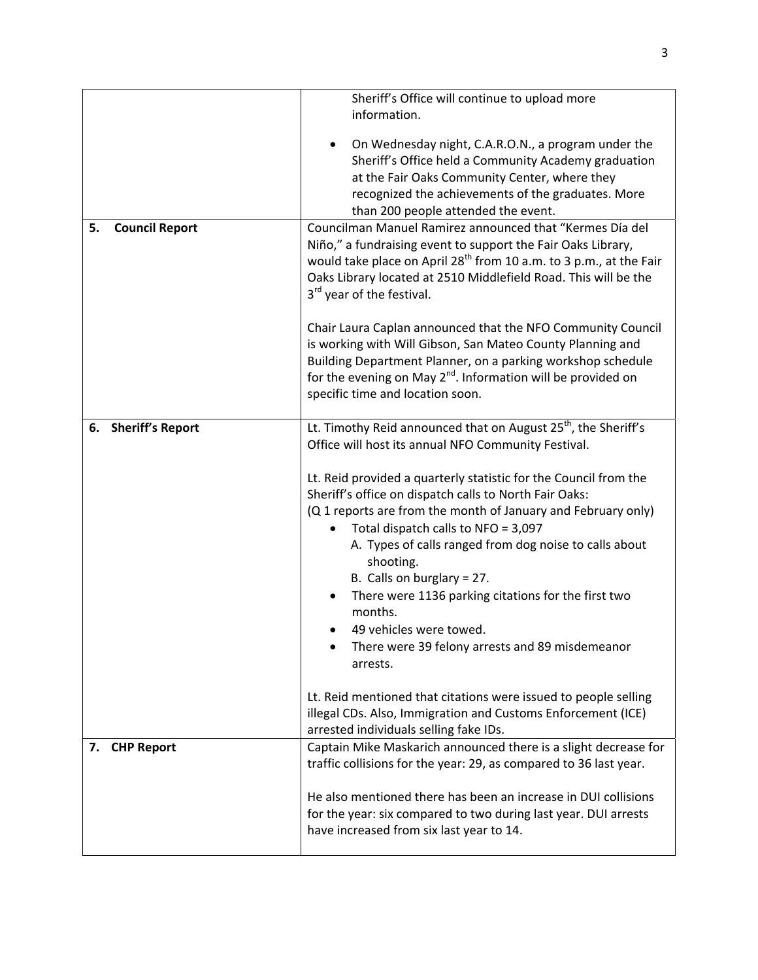|                             | Sheriff's Office will continue to upload more                                                                                                                                                                                                                                                                                                                                                                                                                                                          |
|-----------------------------|--------------------------------------------------------------------------------------------------------------------------------------------------------------------------------------------------------------------------------------------------------------------------------------------------------------------------------------------------------------------------------------------------------------------------------------------------------------------------------------------------------|
|                             | information.                                                                                                                                                                                                                                                                                                                                                                                                                                                                                           |
|                             | On Wednesday night, C.A.R.O.N., a program under the<br>Sheriff's Office held a Community Academy graduation<br>at the Fair Oaks Community Center, where they<br>recognized the achievements of the graduates. More<br>than 200 people attended the event.                                                                                                                                                                                                                                              |
| <b>Council Report</b><br>5. | Councilman Manuel Ramirez announced that "Kermes Día del<br>Niño," a fundraising event to support the Fair Oaks Library,<br>would take place on April 28 <sup>th</sup> from 10 a.m. to 3 p.m., at the Fair<br>Oaks Library located at 2510 Middlefield Road. This will be the<br>3 <sup>rd</sup> year of the festival.                                                                                                                                                                                 |
|                             | Chair Laura Caplan announced that the NFO Community Council<br>is working with Will Gibson, San Mateo County Planning and<br>Building Department Planner, on a parking workshop schedule<br>for the evening on May 2 <sup>nd</sup> . Information will be provided on<br>specific time and location soon.                                                                                                                                                                                               |
| 6. Sheriff's Report         | Lt. Timothy Reid announced that on August 25 <sup>th</sup> , the Sheriff's<br>Office will host its annual NFO Community Festival.                                                                                                                                                                                                                                                                                                                                                                      |
|                             | Lt. Reid provided a quarterly statistic for the Council from the<br>Sheriff's office on dispatch calls to North Fair Oaks:<br>(Q 1 reports are from the month of January and February only)<br>Total dispatch calls to NFO = 3,097<br>A. Types of calls ranged from dog noise to calls about<br>shooting.<br>B. Calls on burglary = $27$ .<br>There were 1136 parking citations for the first two<br>months.<br>49 vehicles were towed.<br>There were 39 felony arrests and 89 misdemeanor<br>arrests. |
|                             | Lt. Reid mentioned that citations were issued to people selling<br>illegal CDs. Also, Immigration and Customs Enforcement (ICE)<br>arrested individuals selling fake IDs.                                                                                                                                                                                                                                                                                                                              |
| <b>CHP Report</b><br>7.     | Captain Mike Maskarich announced there is a slight decrease for<br>traffic collisions for the year: 29, as compared to 36 last year.                                                                                                                                                                                                                                                                                                                                                                   |
|                             | He also mentioned there has been an increase in DUI collisions<br>for the year: six compared to two during last year. DUI arrests<br>have increased from six last year to 14.                                                                                                                                                                                                                                                                                                                          |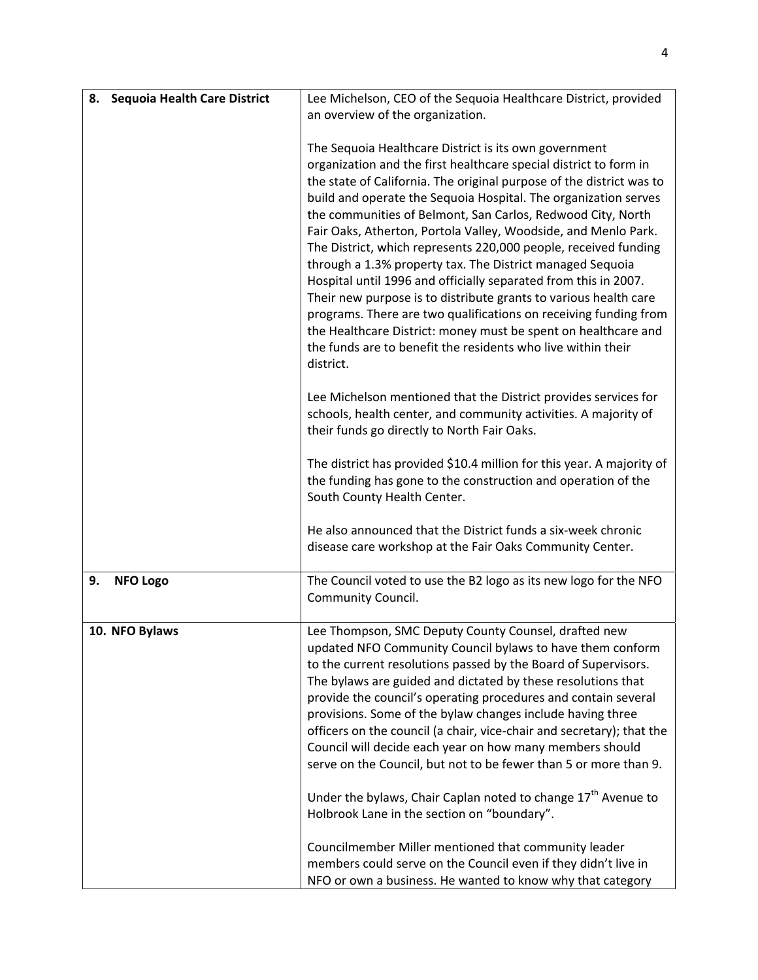| 8.                    | <b>Sequoia Health Care District</b> | Lee Michelson, CEO of the Sequoia Healthcare District, provided                                                                         |
|-----------------------|-------------------------------------|-----------------------------------------------------------------------------------------------------------------------------------------|
|                       |                                     | an overview of the organization.                                                                                                        |
|                       |                                     |                                                                                                                                         |
|                       |                                     | The Sequoia Healthcare District is its own government                                                                                   |
|                       |                                     | organization and the first healthcare special district to form in                                                                       |
|                       |                                     | the state of California. The original purpose of the district was to<br>build and operate the Sequoia Hospital. The organization serves |
|                       |                                     | the communities of Belmont, San Carlos, Redwood City, North                                                                             |
|                       |                                     | Fair Oaks, Atherton, Portola Valley, Woodside, and Menlo Park.                                                                          |
|                       |                                     | The District, which represents 220,000 people, received funding                                                                         |
|                       |                                     | through a 1.3% property tax. The District managed Sequoia                                                                               |
|                       |                                     | Hospital until 1996 and officially separated from this in 2007.                                                                         |
|                       |                                     | Their new purpose is to distribute grants to various health care                                                                        |
|                       |                                     | programs. There are two qualifications on receiving funding from                                                                        |
|                       |                                     | the Healthcare District: money must be spent on healthcare and<br>the funds are to benefit the residents who live within their          |
|                       |                                     | district.                                                                                                                               |
|                       |                                     |                                                                                                                                         |
|                       |                                     | Lee Michelson mentioned that the District provides services for                                                                         |
|                       |                                     | schools, health center, and community activities. A majority of                                                                         |
|                       |                                     | their funds go directly to North Fair Oaks.                                                                                             |
|                       |                                     | The district has provided \$10.4 million for this year. A majority of                                                                   |
|                       |                                     | the funding has gone to the construction and operation of the                                                                           |
|                       |                                     | South County Health Center.                                                                                                             |
|                       |                                     |                                                                                                                                         |
|                       |                                     | He also announced that the District funds a six-week chronic                                                                            |
|                       |                                     | disease care workshop at the Fair Oaks Community Center.                                                                                |
| 9.<br><b>NFO Logo</b> |                                     | The Council voted to use the B2 logo as its new logo for the NFO                                                                        |
|                       |                                     | Community Council.                                                                                                                      |
| 10. NFO Bylaws        |                                     | Lee Thompson, SMC Deputy County Counsel, drafted new                                                                                    |
|                       |                                     | updated NFO Community Council bylaws to have them conform                                                                               |
|                       |                                     | to the current resolutions passed by the Board of Supervisors.                                                                          |
|                       |                                     | The bylaws are guided and dictated by these resolutions that                                                                            |
|                       |                                     | provide the council's operating procedures and contain several                                                                          |
|                       |                                     | provisions. Some of the bylaw changes include having three                                                                              |
|                       |                                     | officers on the council (a chair, vice-chair and secretary); that the                                                                   |
|                       |                                     | Council will decide each year on how many members should<br>serve on the Council, but not to be fewer than 5 or more than 9.            |
|                       |                                     |                                                                                                                                         |
|                       |                                     | Under the bylaws, Chair Caplan noted to change 17 <sup>th</sup> Avenue to                                                               |
|                       |                                     | Holbrook Lane in the section on "boundary".                                                                                             |
|                       |                                     | Councilmember Miller mentioned that community leader                                                                                    |
|                       |                                     | members could serve on the Council even if they didn't live in                                                                          |
|                       |                                     | NFO or own a business. He wanted to know why that category                                                                              |